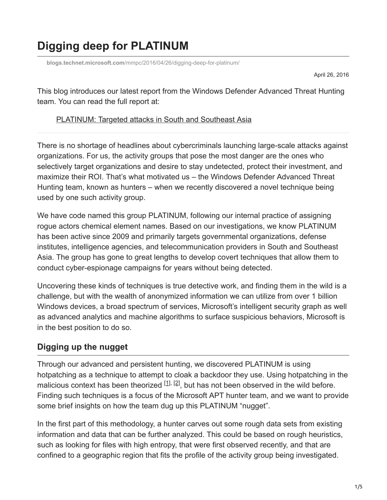# **Digging deep for PLATINUM**

**blogs.technet.microsoft.com**[/mmpc/2016/04/26/digging-deep-for-platinum/](https://blogs.technet.microsoft.com/mmpc/2016/04/26/digging-deep-for-platinum/)

April 26, 2016

This blog introduces our latest report from the Windows Defender Advanced Threat Hunting team. You can read the full report at:

### [PLATINUM: Targeted attacks in South and Southeast Asia](http://download.microsoft.com/download/2/2/5/225BFE3E-E1DE-4F5B-A77B-71200928D209/Platinum%20feature%20article%20-%20Targeted%20attacks%20in%20South%20and%20Southeast%20Asia%20April%202016.pdf)

There is no shortage of headlines about cybercriminals launching large-scale attacks against organizations. For us, the activity groups that pose the most danger are the ones who selectively target organizations and desire to stay undetected, protect their investment, and maximize their ROI. That's what motivated us – the Windows Defender Advanced Threat Hunting team, known as hunters – when we recently discovered a novel technique being used by one such activity group.

We have code named this group PLATINUM, following our internal practice of assigning rogue actors chemical element names. Based on our investigations, we know PLATINUM has been active since 2009 and primarily targets governmental organizations, defense institutes, intelligence agencies, and telecommunication providers in South and Southeast Asia. The group has gone to great lengths to develop covert techniques that allow them to conduct cyber-espionage campaigns for years without being detected.

Uncovering these kinds of techniques is true detective work, and finding them in the wild is a challenge, but with the wealth of anonymized information we can utilize from over 1 billion Windows devices, a broad spectrum of services, Microsoft's intelligent security graph as well as advanced analytics and machine algorithms to surface suspicious behaviors, Microsoft is in the best position to do so.

## **Digging up the nugget**

<span id="page-0-1"></span><span id="page-0-0"></span>Through our advanced and persistent hunting, we discovered PLATINUM is using hotpatching as a technique to attempt to cloak a backdoor they use. Using hotpatching in the malicious context has been theorized  $[1]$ ,  $[2]$ , but has not been observed in the wild before. Finding such techniques is a focus of the Microsoft APT hunter team, and we want to provide some brief insights on how the team dug up this PLATINUM "nugget".

In the first part of this methodology, a hunter carves out some rough data sets from existing information and data that can be further analyzed. This could be based on rough heuristics, such as looking for files with high entropy, that were first observed recently, and that are confined to a geographic region that fits the profile of the activity group being investigated.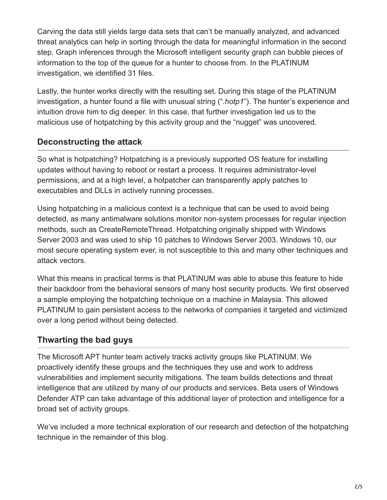Carving the data still yields large data sets that can't be manually analyzed, and advanced threat analytics can help in sorting through the data for meaningful information in the second step. Graph inferences through the Microsoft intelligent security graph can bubble pieces of information to the top of the queue for a hunter to choose from. In the PLATINUM investigation, we identified 31 files.

Lastly, the hunter works directly with the resulting set. During this stage of the PLATINUM investigation, a hunter found a file with unusual string ("*.hotp1*"). The hunter's experience and intuition drove him to dig deeper. In this case, that further investigation led us to the malicious use of hotpatching by this activity group and the "nugget" was uncovered.

## **Deconstructing the attack**

So what is hotpatching? Hotpatching is a previously supported OS feature for installing updates without having to reboot or restart a process. It requires administrator-level permissions, and at a high level, a hotpatcher can transparently apply patches to executables and DLLs in actively running processes.

Using hotpatching in a malicious context is a technique that can be used to avoid being detected, as many antimalware solutions monitor non-system processes for regular injection methods, such as CreateRemoteThread. Hotpatching originally shipped with Windows Server 2003 and was used to ship 10 patches to Windows Server 2003. Windows 10, our most secure operating system ever, is not susceptible to this and many other techniques and attack vectors.

What this means in practical terms is that PLATINUM was able to abuse this feature to hide their backdoor from the behavioral sensors of many host security products. We first observed a sample employing the hotpatching technique on a machine in Malaysia. This allowed PLATINUM to gain persistent access to the networks of companies it targeted and victimized over a long period without being detected.

## **Thwarting the bad guys**

The Microsoft APT hunter team actively tracks activity groups like PLATINUM. We proactively identify these groups and the techniques they use and work to address vulnerabilities and implement security mitigations. The team builds detections and threat intelligence that are utilized by many of our products and services. Beta users of Windows Defender ATP can take advantage of this additional layer of protection and intelligence for a broad set of activity groups.

We've included a more technical exploration of our research and detection of the hotpatching technique in the remainder of this blog.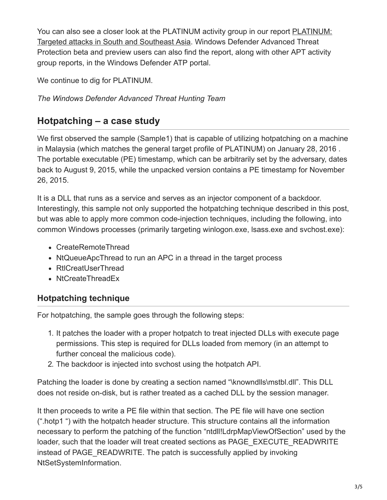[You can also see a closer look at the PLATINUM activity group in our report PLATINUM:](http://download.microsoft.com/download/2/2/5/225BFE3E-E1DE-4F5B-A77B-71200928D209/Platinum%20feature%20article%20-%20Targeted%20attacks%20in%20South%20and%20Southeast%20Asia%20April%202016.pdf) Targeted attacks in South and Southeast Asia. Windows Defender Advanced Threat Protection beta and preview users can also find the report, along with other APT activity group reports, in the Windows Defender ATP portal.

We continue to dig for PLATINUM.

*The Windows Defender Advanced Threat Hunting Team*

# **Hotpatching – a case study**

We first observed the sample (Sample1) that is capable of utilizing hotpatching on a machine in Malaysia (which matches the general target profile of PLATINUM) on January 28, 2016 . The portable executable (PE) timestamp, which can be arbitrarily set by the adversary, dates back to August 9, 2015, while the unpacked version contains a PE timestamp for November 26, 2015.

It is a DLL that runs as a service and serves as an injector component of a backdoor. Interestingly, this sample not only supported the hotpatching technique described in this post, but was able to apply more common code-injection techniques, including the following, into common Windows processes (primarily targeting winlogon.exe, lsass.exe and svchost.exe):

- CreateRemoteThread
- NtQueueApcThread to run an APC in a thread in the target process
- RtlCreatUserThread
- NtCreateThreadFx

# **Hotpatching technique**

For hotpatching, the sample goes through the following steps:

- 1. It patches the loader with a proper hotpatch to treat injected DLLs with execute page permissions. This step is required for DLLs loaded from memory (in an attempt to further conceal the malicious code).
- 2. The backdoor is injected into svchost using the hotpatch API.

Patching the loader is done by creating a section named "\knowndlls\mstbl.dll". This DLL does not reside on-disk, but is rather treated as a cached DLL by the session manager.

It then proceeds to write a PE file within that section. The PE file will have one section (".hotp1 ") with the hotpatch header structure. This structure contains all the information necessary to perform the patching of the function "ntdll!LdrpMapViewOfSection" used by the loader, such that the loader will treat created sections as PAGE\_EXECUTE\_READWRITE instead of PAGE\_READWRITE. The patch is successfully applied by invoking NtSetSystemInformation.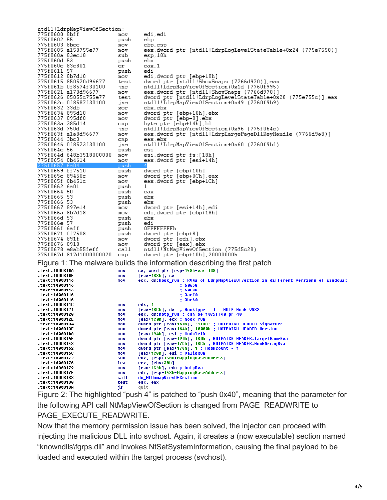ntdll!LdrpMapViewOfSection: 775f0600 8bff edi,edi mov 775f0602 55 push ebp 775f0603 8bec nov ebp, esp 775f0605 a158755e77 eax.dword ptr [ntdll!LdrpLoqLevelStateTable+0x24 (775e7558)] mov 775f060a 83ec18 sub esp, 18h 775f060d 53 push ebx 775f060e 83c801 or. eax, 1  $push$ 775f0611 57 edi eur<br>di.dword ptr [ebp+10h]<br>dword ptr [ntdll!ShowSnaps (7766d970)].eax<br>ntdll!LdrpMapViewOfSection+0x1d (7760f995)<br>eax.dword ptr [ntdll!ShowSnaps (7766d970)]<br>dword ptr [ntdll!LdrpLogLevelStateTable+0x28 (775e755c)].eax<br>ntdll 775f0612 8b7d10  $m$ ov 775f0615 850570d96677 test 775f061b 0f8574f30100 ine 775f0621 a170d96677  $mov$ 775f0626 85055c755e77 test 775f062c 0f8587f30100 jne 775f0632 33db ebx, ebx xor 775f0634 895d10 mov dword ptr [ebp+10h], ebx dword ptr [ebp-8], ebx 775f0637 895df8 mov 775f063a 385d14<br>775f063d 750d byte ptr [ebp+14h], bl<br>ntdll!LdrpMapViewOfSection+0x96 (775f064c)  $_{\text{cmb}}$ ine 775f063f ala8d96677 eax, dword ptr [ntdll!LdrpLargePageDllKeyHandle (7766d9a8)] mov 775f0644 3bc3  $_{\texttt{cmp}}$ eax, ebx 775f0646 0f8573f30100 ntdll!LdrpMapViewOfSection+0x60 (7760f9bf) ine 775f064c 56 push esi 775f064d 648b3518000000  $nov$ esi, dword ptr fs: [18h] 775f0654 8b4614 eax,dword ptr [esi+14h] mov pus 775f0659 ff7510 push dword ptr [ebp+10h]<br>dword ptr [ebp+0Ch],eax 775f065c 89450c  $m \cap V$ 775f065f 8b451c eax, dword ptr [ebp+1Ch]  $_{\text{mov}}$ 775f0662 6a01 push 1. 775f0664 50 push eax 775f0665 53 push  $e$ bx 775f0666 53 push ebx 775f0667 897e14 dword ptr [esi+14h] edi mov 775f066a 8b7d18  $mov$ edi, dword ptr [ebp+18h] 775f066d 53 push  $_{\rm ebx}$ 775f066e 57 push edi 775f066f 6aff<br>775f0671 ff7508 **OFFFFFFFFFh** push dword ptr [ebp+8]<br>dword ptr [edi],ebx push 775f0674 891f  $m \in V$ 775f0676 8918 dword ptr [eax].ebx<br>ntdll!NtMapViewOfSection (775d5c28) mov 775f0678 e8ab55feff call 775f067d 817d1000000020 dword ptr [ebp+10h], 200000000h  $_{\text{cmp}}$ Figure 1: The malware builds the information describing the first patch test of the move  $\frac{c}{n}$  and  $\frac{c}{n}$  and ptr  $\frac{c}{n}$  (esp+158h+var\_138] mou text:1000B10F  $[$ eax+1B8h $]$ ,  $c\overline{x}$ mou .text:1000B116 .<br>ecx, ds:hook rva ; RVAs of LdrpMapViewOfSection in different versions of windows: mnu .text:1000B116 60658 .text:1000B116 60F88 .text:1000B116 3acf0 .text:1000B116 **3be60** .text:1000B11C mnu edx, 1 eax+1BCh], dx ; HookType = 1 = HOTP\_Hook\_VA32<br>edx, ds:hotp\_rva ; can be 1075ff40 pr 40<br>[eax+1C0h], ecx ; hook rva<br>dword ptr [eax+160h], '1TOH' ; HOTPATCH\_HEADER.Signature<br>dword ptr [eax+164h], 10000h ; HOTPATCH\_HEADER.Vers .text:1000B121 nov .text:1000B128 mou  $-text:1000B12E$ mou .text:1000B134 mov .text:1000B13E mou Eax+194h], esi ; HoduleID<br>dword ptr [eax+196h], 188h ; HOTPATCH\_HEADER.TargetNameRva<br>dword ptr [eax+196h], 188h ; HOTPATCH\_HEADER.TargetNameRva .text:1000B148 mou .text:1000B14E mou .text:1000B158 mov dword ptr [eax+17Ch], 1BCh ; HOTPATCH\_HEADER.HookArrayRva .text:1000B162 dword ptr [eax+178h], 1 ; HookCount = 1 mou .text:1000B16C nov [eax+1C8h], esi ; ValidRva<br>edx, [esp+158h+MappingBaseAddress]<br>ecx, [ebx+38h] .text:1000B172 sub .text:1000B176 lea .text:1000B179 [eax+1C4h], edx ; hotpRva<br>edi, [esp+158h+MappingBaseAddress] mnu .text:1000B17F nov .text:1000B183 do\_NtUnmapViewOfSection call .text:1000B188 eax, eax test .text:1000B18A quit is

Figure 2: The highlighted "push 4" is patched to "push 0x40", meaning that the parameter for the following API call NtMapViewOfSection is changed from PAGE\_READWRITE to PAGE\_EXECUTE\_READWRITE.

Now that the memory permission issue has been solved, the injector can proceed with injecting the malicious DLL into svchost. Again, it creates a (now executable) section named "knowndlls\fgrps.dll" and invokes NtSetSystemInformation, causing the final payload to be loaded and executed within the target process (svchost).